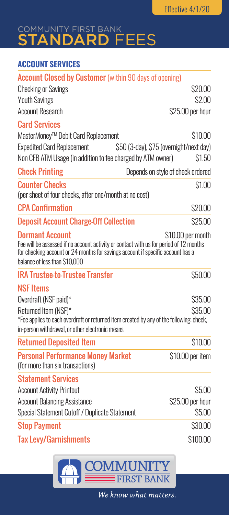# COMMUNITY FIRST BANK STANDARD FEES

### **ACCOUNT SERVICES**

| <b>Account Closed by Customer</b> (within 90 days of opening)                                                                                                                                                                        |                                   |
|--------------------------------------------------------------------------------------------------------------------------------------------------------------------------------------------------------------------------------------|-----------------------------------|
| <b>Checking or Savings</b>                                                                                                                                                                                                           | \$20.00                           |
| <b>Youth Savings</b>                                                                                                                                                                                                                 | \$2.00                            |
| <b>Account Research</b>                                                                                                                                                                                                              | \$25.00 per hour                  |
| <b>Card Services</b>                                                                                                                                                                                                                 |                                   |
| MasterMoney <sup>™</sup> Debit Card Replacement                                                                                                                                                                                      | \$10.00                           |
| <b>Expedited Card Replacement</b><br>\$50 (3-day), \$75 (overnight/next day)                                                                                                                                                         |                                   |
| Non CFB ATM Usage (in addition to fee charged by ATM owner)                                                                                                                                                                          | \$1.50                            |
| <b>Check Printing</b>                                                                                                                                                                                                                | Depends on style of check ordered |
| <b>Counter Checks</b><br>(per sheet of four checks, after one/month at no cost)                                                                                                                                                      | \$1.00                            |
| <b>CPA Confirmation</b>                                                                                                                                                                                                              | \$20.00                           |
| <b>Deposit Account Charge-Off Collection</b>                                                                                                                                                                                         | \$25.00                           |
| <b>Dormant Account</b><br>Fee will be assessed if no account activity or contact with us for period of 12 months<br>for checking account or 24 months for savings account if specific account has a<br>balance of less than \$10,000 | \$10.00 per month                 |
| <b>IRA Trustee-to-Trustee Transfer</b>                                                                                                                                                                                               | \$50.00                           |
| <b>NSF Items</b>                                                                                                                                                                                                                     |                                   |
| Overdraft (NSF paid)*                                                                                                                                                                                                                | \$35.00                           |
| Returned Item (NSF)*                                                                                                                                                                                                                 | \$35.00                           |
| *Fee applies to each overdraft or returned item created by any of the following: check,<br>in-person withdrawal, or other electronic means                                                                                           |                                   |
| <b>Returned Deposited Item</b>                                                                                                                                                                                                       | \$10.00                           |
| <b>Personal Performance Money Market</b><br>(for more than six transactions)                                                                                                                                                         | \$10.00 per item                  |
| <b>Statement Services</b>                                                                                                                                                                                                            |                                   |
| <b>Account Activity Printout</b>                                                                                                                                                                                                     | \$5.00                            |
| <b>Account Balancing Assistance</b>                                                                                                                                                                                                  | \$25.00 per hour                  |
| Special Statement Cutoff / Duplicate Statement                                                                                                                                                                                       | \$5.00                            |
| <b>Stop Payment</b>                                                                                                                                                                                                                  | \$30.00                           |
| <b>Tax Levy/Garnishments</b>                                                                                                                                                                                                         | \$100.00                          |